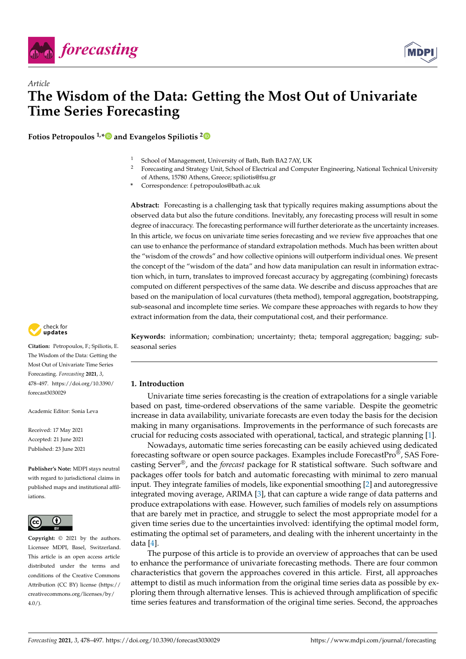



# *Article* **The Wisdom of the Data: Getting the Most Out of Univariate Time Series Forecasting**

**Fotios Petropoulos 1,[\\*](https://orcid.org/0000-0003-3039-4955) and Evangelos Spiliotis [2](https://orcid.org/0000-0002-1854-1206)**

- <sup>1</sup> School of Management, University of Bath, Bath BA2 7AY, UK<br><sup>2</sup> Expresseting and Strategy Unit, School of Electrical and Comput
	- <sup>2</sup> Forecasting and Strategy Unit, School of Electrical and Computer Engineering, National Technical University of Athens, 15780 Athens, Greece; spiliotis@fsu.gr
- **\*** Correspondence: f.petropoulos@bath.ac.uk

**Abstract:** Forecasting is a challenging task that typically requires making assumptions about the observed data but also the future conditions. Inevitably, any forecasting process will result in some degree of inaccuracy. The forecasting performance will further deteriorate as the uncertainty increases. In this article, we focus on univariate time series forecasting and we review five approaches that one can use to enhance the performance of standard extrapolation methods. Much has been written about the "wisdom of the crowds" and how collective opinions will outperform individual ones. We present the concept of the "wisdom of the data" and how data manipulation can result in information extraction which, in turn, translates to improved forecast accuracy by aggregating (combining) forecasts computed on different perspectives of the same data. We describe and discuss approaches that are based on the manipulation of local curvatures (theta method), temporal aggregation, bootstrapping, sub-seasonal and incomplete time series. We compare these approaches with regards to how they extract information from the data, their computational cost, and their performance.

check for **-**

**Citation:** Petropoulos, F.; Spiliotis, E. The Wisdom of the Data: Getting the Most Out of Univariate Time Series Forecasting. *Forecasting* **2021**, *3*, 478–497. [https://doi.org/10.3390/](https://doi.org/10.3390/forecast3030029) [forecast3030029](https://doi.org/10.3390/forecast3030029)

Academic Editor: Sonia Leva

Received: 17 May 2021 Accepted: 21 June 2021 Published: 23 June 2021

**Publisher's Note:** MDPI stays neutral with regard to jurisdictional claims in published maps and institutional affiliations.



**Copyright:** © 2021 by the authors. Licensee MDPI, Basel, Switzerland. This article is an open access article distributed under the terms and conditions of the Creative Commons Attribution (CC BY) license (https:/[/](https://creativecommons.org/licenses/by/4.0/) [creativecommons.org/licenses/by/](https://creativecommons.org/licenses/by/4.0/)  $4.0/$ ).

**Keywords:** information; combination; uncertainty; theta; temporal aggregation; bagging; subseasonal series

# **1. Introduction**

Univariate time series forecasting is the creation of extrapolations for a single variable based on past, time-ordered observations of the same variable. Despite the geometric increase in data availability, univariate forecasts are even today the basis for the decision making in many organisations. Improvements in the performance of such forecasts are crucial for reducing costs associated with operational, tactical, and strategic planning [\[1\]](#page-16-0).

Nowadays, automatic time series forecasting can be easily achieved using dedicated forecasting software or open source packages. Examples include ForecastPro<sup>®</sup>, SAS Forecasting Server®, and the *forecast* package for R statistical software. Such software and packages offer tools for batch and automatic forecasting with minimal to zero manual input. They integrate families of models, like exponential smoothing [\[2\]](#page-16-1) and autoregressive integrated moving average, ARIMA [\[3\]](#page-16-2), that can capture a wide range of data patterns and produce extrapolations with ease. However, such families of models rely on assumptions that are barely met in practice, and struggle to select the most appropriate model for a given time series due to the uncertainties involved: identifying the optimal model form, estimating the optimal set of parameters, and dealing with the inherent uncertainty in the data [\[4\]](#page-16-3).

The purpose of this article is to provide an overview of approaches that can be used to enhance the performance of univariate forecasting methods. There are four common characteristics that govern the approaches covered in this article. First, all approaches attempt to distil as much information from the original time series data as possible by exploring them through alternative lenses. This is achieved through amplification of specific time series features and transformation of the original time series. Second, the approaches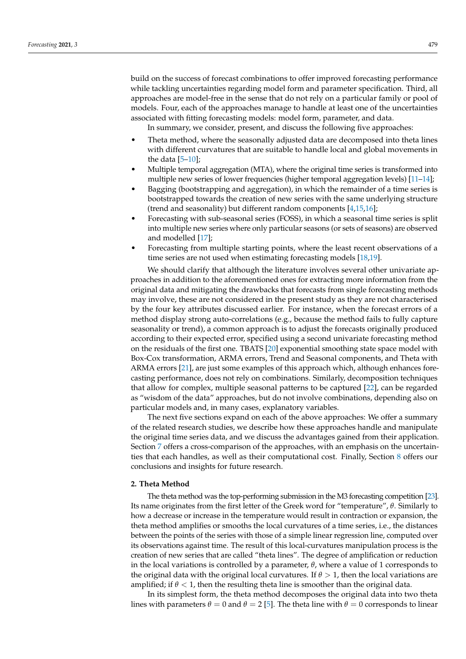build on the success of forecast combinations to offer improved forecasting performance while tackling uncertainties regarding model form and parameter specification. Third, all approaches are model-free in the sense that do not rely on a particular family or pool of models. Four, each of the approaches manage to handle at least one of the uncertainties associated with fitting forecasting models: model form, parameter, and data.

In summary, we consider, present, and discuss the following five approaches:

- Theta method, where the seasonally adjusted data are decomposed into theta lines with different curvatures that are suitable to handle local and global movements in the data  $[5-10]$  $[5-10]$ ;
- Multiple temporal aggregation (MTA), where the original time series is transformed into multiple new series of lower frequencies (higher temporal aggregation levels) [\[11–](#page-17-1)[14\]](#page-17-2);
- Bagging (bootstrapping and aggregation), in which the remainder of a time series is bootstrapped towards the creation of new series with the same underlying structure (trend and seasonality) but different random components [\[4](#page-16-3)[,15](#page-17-3)[,16\]](#page-17-4);
- Forecasting with sub-seasonal series (FOSS), in which a seasonal time series is split into multiple new series where only particular seasons (or sets of seasons) are observed and modelled [\[17\]](#page-17-5);
- Forecasting from multiple starting points, where the least recent observations of a time series are not used when estimating forecasting models [\[18](#page-17-6)[,19\]](#page-17-7).

We should clarify that although the literature involves several other univariate approaches in addition to the aforementioned ones for extracting more information from the original data and mitigating the drawbacks that forecasts from single forecasting methods may involve, these are not considered in the present study as they are not characterised by the four key attributes discussed earlier. For instance, when the forecast errors of a method display strong auto-correlations (e.g., because the method fails to fully capture seasonality or trend), a common approach is to adjust the forecasts originally produced according to their expected error, specified using a second univariate forecasting method on the residuals of the first one. TBATS [\[20\]](#page-17-8) exponential smoothing state space model with Box-Cox transformation, ARMA errors, Trend and Seasonal components, and Theta with ARMA errors [\[21\]](#page-17-9), are just some examples of this approach which, although enhances forecasting performance, does not rely on combinations. Similarly, decomposition techniques that allow for complex, multiple seasonal patterns to be captured [\[22\]](#page-17-10), can be regarded as "wisdom of the data" approaches, but do not involve combinations, depending also on particular models and, in many cases, explanatory variables.

The next five sections expand on each of the above approaches: We offer a summary of the related research studies, we describe how these approaches handle and manipulate the original time series data, and we discuss the advantages gained from their application. Section [7](#page-11-0) offers a cross-comparison of the approaches, with an emphasis on the uncertainties that each handles, as well as their computational cost. Finally, Section [8](#page-14-0) offers our conclusions and insights for future research.

## **2. Theta Method**

The theta method was the top-performing submission in the M3 forecasting competition [\[23\]](#page-17-11). Its name originates from the first letter of the Greek word for "temperature", *θ*. Similarly to how a decrease or increase in the temperature would result in contraction or expansion, the theta method amplifies or smooths the local curvatures of a time series, i.e., the distances between the points of the series with those of a simple linear regression line, computed over its observations against time. The result of this local-curvatures manipulation process is the creation of new series that are called "theta lines". The degree of amplification or reduction in the local variations is controlled by a parameter, *θ*, where a value of 1 corresponds to the original data with the original local curvatures. If  $\theta > 1$ , then the local variations are amplified; if  $\theta$  < 1, then the resulting theta line is smoother than the original data.

In its simplest form, the theta method decomposes the original data into two theta lines with parameters  $\theta = 0$  and  $\theta = 2$  [\[5\]](#page-16-4). The theta line with  $\theta = 0$  corresponds to linear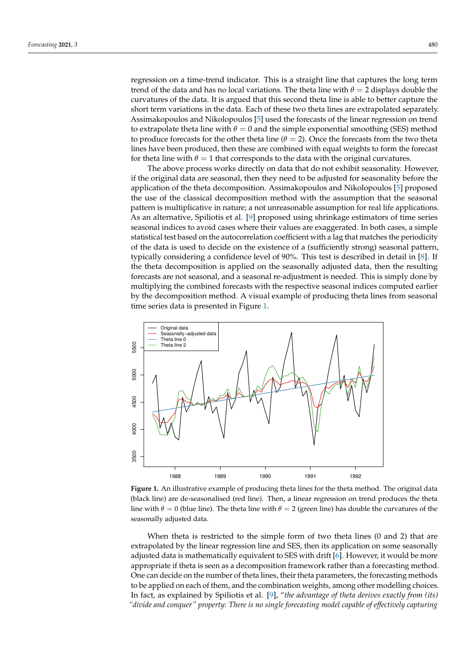regression on a time-trend indicator. This is a straight line that captures the long term trend of the data and has no local variations. The theta line with  $\theta = 2$  displays double the curvatures of the data. It is argued that this second theta line is able to better capture the short term variations in the data. Each of these two theta lines are extrapolated separately. Assimakopoulos and Nikolopoulos [\[5\]](#page-16-4) used the forecasts of the linear regression on trend to extrapolate theta line with  $\theta = 0$  and the simple exponential smoothing (SES) method to produce forecasts for the other theta line ( $\theta = 2$ ). Once the forecasts from the two theta lines have been produced, then these are combined with equal weights to form the forecast for theta line with  $\theta = 1$  that corresponds to the data with the original curvatures.

The above process works directly on data that do not exhibit seasonality. However, if the original data are seasonal, then they need to be adjusted for seasonality before the application of the theta decomposition. Assimakopoulos and Nikolopoulos [\[5\]](#page-16-4) proposed the use of the classical decomposition method with the assumption that the seasonal pattern is multiplicative in nature; a not unreasonable assumption for real life applications. As an alternative, Spiliotis et al. [\[9\]](#page-16-5) proposed using shrinkage estimators of time series seasonal indices to avoid cases where their values are exaggerated. In both cases, a simple statistical test based on the autocorrelation coefficient with a lag that matches the periodicity of the data is used to decide on the existence of a (sufficiently strong) seasonal pattern, typically considering a confidence level of 90%. This test is described in detail in [\[8\]](#page-16-6). If the theta decomposition is applied on the seasonally adjusted data, then the resulting forecasts are not seasonal, and a seasonal re-adjustment is needed. This is simply done by multiplying the combined forecasts with the respective seasonal indices computed earlier by the decomposition method. A visual example of producing theta lines from seasonal time series data is presented in Figure [1.](#page-2-0)

<span id="page-2-0"></span>

**Figure 1.** An illustrative example of producing theta lines for the theta method. The original data (black line) are de-seasonalised (red line). Then, a linear regression on trend produces the theta line with  $\theta = 0$  (blue line). The theta line with  $\theta = 2$  (green line) has double the curvatures of the seasonally adjusted data.

When theta is restricted to the simple form of two theta lines (0 and 2) that are extrapolated by the linear regression line and SES, then its application on some seasonally adjusted data is mathematically equivalent to SES with drift [\[6\]](#page-16-7). However, it would be more appropriate if theta is seen as a decomposition framework rather than a forecasting method. One can decide on the number of theta lines, their theta parameters, the forecasting methods to be applied on each of them, and the combination weights, among other modelling choices. In fact, as explained by Spiliotis et al. [\[9\]](#page-16-5), "*the advantage of theta derives exactly from (its) "divide and conquer" property: There is no single forecasting model capable of effectively capturing*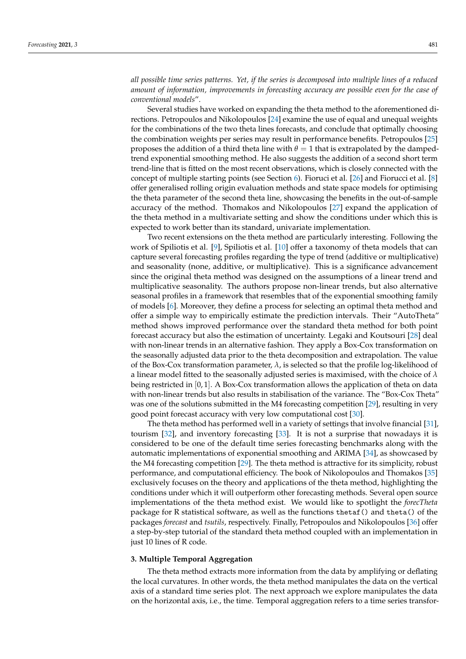*all possible time series patterns. Yet, if the series is decomposed into multiple lines of a reduced amount of information, improvements in forecasting accuracy are possible even for the case of conventional models*".

Several studies have worked on expanding the theta method to the aforementioned directions. Petropoulos and Nikolopoulos [\[24\]](#page-17-12) examine the use of equal and unequal weights for the combinations of the two theta lines forecasts, and conclude that optimally choosing the combination weights per series may result in performance benefits. Petropoulos [\[25\]](#page-17-13) proposes the addition of a third theta line with  $\theta = 1$  that is extrapolated by the dampedtrend exponential smoothing method. He also suggests the addition of a second short term trend-line that is fitted on the most recent observations, which is closely connected with the concept of multiple starting points (see Section [6\)](#page-10-0). Fioruci et al. [\[26\]](#page-17-14) and Fiorucci et al. [\[8\]](#page-16-6) offer generalised rolling origin evaluation methods and state space models for optimising the theta parameter of the second theta line, showcasing the benefits in the out-of-sample accuracy of the method. Thomakos and Nikolopoulos [\[27\]](#page-17-15) expand the application of the theta method in a multivariate setting and show the conditions under which this is expected to work better than its standard, univariate implementation.

Two recent extensions on the theta method are particularly interesting. Following the work of Spiliotis et al. [\[9\]](#page-16-5), Spiliotis et al. [\[10\]](#page-17-0) offer a taxonomy of theta models that can capture several forecasting profiles regarding the type of trend (additive or multiplicative) and seasonality (none, additive, or multiplicative). This is a significance advancement since the original theta method was designed on the assumptions of a linear trend and multiplicative seasonality. The authors propose non-linear trends, but also alternative seasonal profiles in a framework that resembles that of the exponential smoothing family of models [\[6\]](#page-16-7). Moreover, they define a process for selecting an optimal theta method and offer a simple way to empirically estimate the prediction intervals. Their "AutoTheta" method shows improved performance over the standard theta method for both point forecast accuracy but also the estimation of uncertainty. Legaki and Koutsouri [\[28\]](#page-17-16) deal with non-linear trends in an alternative fashion. They apply a Box-Cox transformation on the seasonally adjusted data prior to the theta decomposition and extrapolation. The value of the Box-Cox transformation parameter,  $\lambda$ , is selected so that the profile log-likelihood of a linear model fitted to the seasonally adjusted series is maximised, with the choice of *λ* being restricted in [0, 1]. A Box-Cox transformation allows the application of theta on data with non-linear trends but also results in stabilisation of the variance. The "Box-Cox Theta" was one of the solutions submitted in the M4 forecasting competition [\[29\]](#page-17-17), resulting in very good point forecast accuracy with very low computational cost [\[30\]](#page-17-18).

The theta method has performed well in a variety of settings that involve financial [\[31\]](#page-17-19), tourism [\[32\]](#page-17-20), and inventory forecasting [\[33\]](#page-17-21). It is not a surprise that nowadays it is considered to be one of the default time series forecasting benchmarks along with the automatic implementations of exponential smoothing and ARIMA [\[34\]](#page-17-22), as showcased by the M4 forecasting competition [\[29\]](#page-17-17). The theta method is attractive for its simplicity, robust performance, and computational efficiency. The book of Nikolopoulos and Thomakos [\[35\]](#page-17-23) exclusively focuses on the theory and applications of the theta method, highlighting the conditions under which it will outperform other forecasting methods. Several open source implementations of the theta method exist. We would like to spotlight the *forecTheta* package for R statistical software, as well as the functions thetaf() and theta() of the packages *forecast* and *tsutils*, respectively. Finally, Petropoulos and Nikolopoulos [\[36\]](#page-17-24) offer a step-by-step tutorial of the standard theta method coupled with an implementation in just 10 lines of R code.

## **3. Multiple Temporal Aggregation**

The theta method extracts more information from the data by amplifying or deflating the local curvatures. In other words, the theta method manipulates the data on the vertical axis of a standard time series plot. The next approach we explore manipulates the data on the horizontal axis, i.e., the time. Temporal aggregation refers to a time series transfor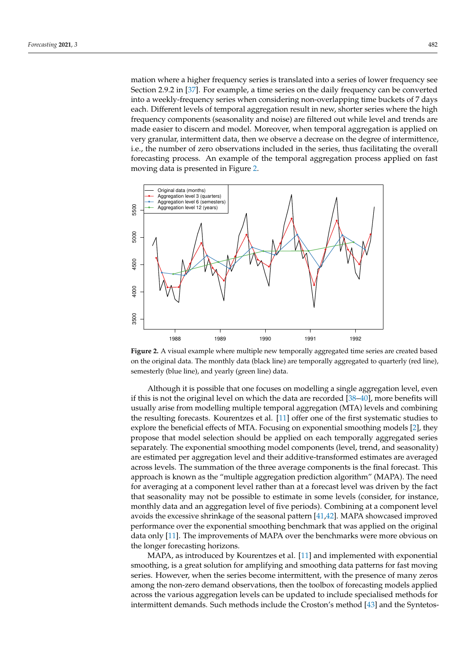mation where a higher frequency series is translated into a series of lower frequency see Section 2.9.2 in [\[37\]](#page-17-25). For example, a time series on the daily frequency can be converted into a weekly-frequency series when considering non-overlapping time buckets of 7 days each. Different levels of temporal aggregation result in new, shorter series where the high frequency components (seasonality and noise) are filtered out while level and trends are made easier to discern and model. Moreover, when temporal aggregation is applied on very granular, intermittent data, then we observe a decrease on the degree of intermittence, i.e., the number of zero observations included in the series, thus facilitating the overall forecasting process. An example of the temporal aggregation process applied on fast moving data is presented in Figure [2.](#page-4-0)

<span id="page-4-0"></span>

**Figure 2.** A visual example where multiple new temporally aggregated time series are created based on the original data. The monthly data (black line) are temporally aggregated to quarterly (red line), semesterly (blue line), and yearly (green line) data.

Although it is possible that one focuses on modelling a single aggregation level, even if this is not the original level on which the data are recorded [\[38](#page-17-26)[–40\]](#page-17-27), more benefits will usually arise from modelling multiple temporal aggregation (MTA) levels and combining the resulting forecasts. Kourentzes et al. [\[11\]](#page-17-1) offer one of the first systematic studies to explore the beneficial effects of MTA. Focusing on exponential smoothing models [\[2\]](#page-16-1), they propose that model selection should be applied on each temporally aggregated series separately. The exponential smoothing model components (level, trend, and seasonality) are estimated per aggregation level and their additive-transformed estimates are averaged across levels. The summation of the three average components is the final forecast. This approach is known as the "multiple aggregation prediction algorithm" (MAPA). The need for averaging at a component level rather than at a forecast level was driven by the fact that seasonality may not be possible to estimate in some levels (consider, for instance, monthly data and an aggregation level of five periods). Combining at a component level avoids the excessive shrinkage of the seasonal pattern [\[41,](#page-17-28)[42\]](#page-18-0). MAPA showcased improved performance over the exponential smoothing benchmark that was applied on the original data only [\[11\]](#page-17-1). The improvements of MAPA over the benchmarks were more obvious on the longer forecasting horizons.

MAPA, as introduced by Kourentzes et al. [\[11\]](#page-17-1) and implemented with exponential smoothing, is a great solution for amplifying and smoothing data patterns for fast moving series. However, when the series become intermittent, with the presence of many zeros among the non-zero demand observations, then the toolbox of forecasting models applied across the various aggregation levels can be updated to include specialised methods for intermittent demands. Such methods include the Croston's method [\[43\]](#page-18-1) and the Syntetos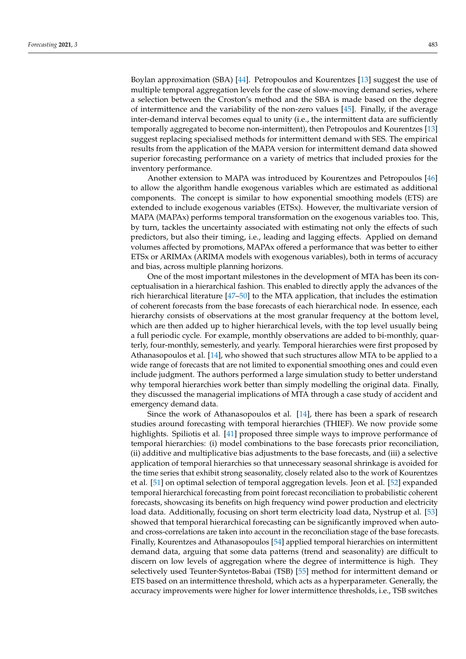Boylan approximation (SBA) [\[44\]](#page-18-2). Petropoulos and Kourentzes [\[13\]](#page-17-29) suggest the use of multiple temporal aggregation levels for the case of slow-moving demand series, where a selection between the Croston's method and the SBA is made based on the degree of intermittence and the variability of the non-zero values [\[45\]](#page-18-3). Finally, if the average inter-demand interval becomes equal to unity (i.e., the intermittent data are sufficiently temporally aggregated to become non-intermittent), then Petropoulos and Kourentzes [\[13\]](#page-17-29) suggest replacing specialised methods for intermittent demand with SES. The empirical results from the application of the MAPA version for intermittent demand data showed superior forecasting performance on a variety of metrics that included proxies for the inventory performance.

Another extension to MAPA was introduced by Kourentzes and Petropoulos [\[46\]](#page-18-4) to allow the algorithm handle exogenous variables which are estimated as additional components. The concept is similar to how exponential smoothing models (ETS) are extended to include exogenous variables (ETSx). However, the multivariate version of MAPA (MAPAx) performs temporal transformation on the exogenous variables too. This, by turn, tackles the uncertainty associated with estimating not only the effects of such predictors, but also their timing, i.e., leading and lagging effects. Applied on demand volumes affected by promotions, MAPAx offered a performance that was better to either ETSx or ARIMAx (ARIMA models with exogenous variables), both in terms of accuracy and bias, across multiple planning horizons.

One of the most important milestones in the development of MTA has been its conceptualisation in a hierarchical fashion. This enabled to directly apply the advances of the rich hierarchical literature [\[47–](#page-18-5)[50\]](#page-18-6) to the MTA application, that includes the estimation of coherent forecasts from the base forecasts of each hierarchical node. In essence, each hierarchy consists of observations at the most granular frequency at the bottom level, which are then added up to higher hierarchical levels, with the top level usually being a full periodic cycle. For example, monthly observations are added to bi-monthly, quarterly, four-monthly, semesterly, and yearly. Temporal hierarchies were first proposed by Athanasopoulos et al. [\[14\]](#page-17-2), who showed that such structures allow MTA to be applied to a wide range of forecasts that are not limited to exponential smoothing ones and could even include judgment. The authors performed a large simulation study to better understand why temporal hierarchies work better than simply modelling the original data. Finally, they discussed the managerial implications of MTA through a case study of accident and emergency demand data.

Since the work of Athanasopoulos et al. [\[14\]](#page-17-2), there has been a spark of research studies around forecasting with temporal hierarchies (THIEF). We now provide some highlights. Spiliotis et al. [\[41\]](#page-17-28) proposed three simple ways to improve performance of temporal hierarchies: (i) model combinations to the base forecasts prior reconciliation, (ii) additive and multiplicative bias adjustments to the base forecasts, and (iii) a selective application of temporal hierarchies so that unnecessary seasonal shrinkage is avoided for the time series that exhibit strong seasonality, closely related also to the work of Kourentzes et al. [\[51\]](#page-18-7) on optimal selection of temporal aggregation levels. Jeon et al. [\[52\]](#page-18-8) expanded temporal hierarchical forecasting from point forecast reconciliation to probabilistic coherent forecasts, showcasing its benefits on high frequency wind power production and electricity load data. Additionally, focusing on short term electricity load data, Nystrup et al. [\[53\]](#page-18-9) showed that temporal hierarchical forecasting can be significantly improved when autoand cross-correlations are taken into account in the reconciliation stage of the base forecasts. Finally, Kourentzes and Athanasopoulos [\[54\]](#page-18-10) applied temporal hierarchies on intermittent demand data, arguing that some data patterns (trend and seasonality) are difficult to discern on low levels of aggregation where the degree of intermittence is high. They selectively used Teunter-Syntetos-Babai (TSB) [\[55\]](#page-18-11) method for intermittent demand or ETS based on an intermittence threshold, which acts as a hyperparameter. Generally, the accuracy improvements were higher for lower intermittence thresholds, i.e., TSB switches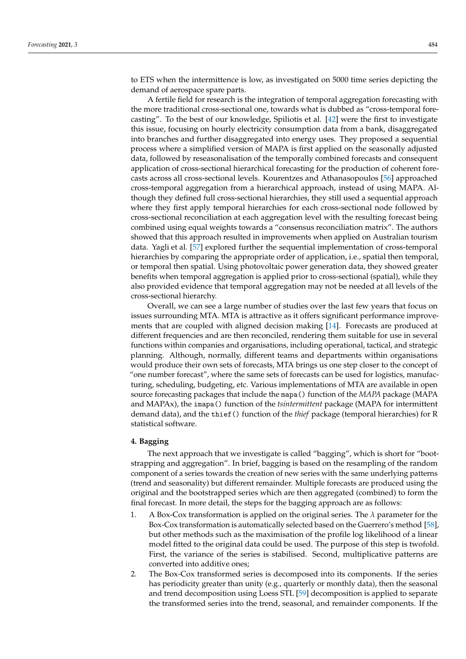to ETS when the intermittence is low, as investigated on 5000 time series depicting the demand of aerospace spare parts.

A fertile field for research is the integration of temporal aggregation forecasting with the more traditional cross-sectional one, towards what is dubbed as "cross-temporal forecasting". To the best of our knowledge, Spiliotis et al. [\[42\]](#page-18-0) were the first to investigate this issue, focusing on hourly electricity consumption data from a bank, disaggregated into branches and further disaggregated into energy uses. They proposed a sequential process where a simplified version of MAPA is first applied on the seasonally adjusted data, followed by reseasonalisation of the temporally combined forecasts and consequent application of cross-sectional hierarchical forecasting for the production of coherent forecasts across all cross-sectional levels. Kourentzes and Athanasopoulos [\[56\]](#page-18-12) approached cross-temporal aggregation from a hierarchical approach, instead of using MAPA. Although they defined full cross-sectional hierarchies, they still used a sequential approach where they first apply temporal hierarchies for each cross-sectional node followed by cross-sectional reconciliation at each aggregation level with the resulting forecast being combined using equal weights towards a "consensus reconciliation matrix". The authors showed that this approach resulted in improvements when applied on Australian tourism data. Yagli et al. [\[57\]](#page-18-13) explored further the sequential implementation of cross-temporal hierarchies by comparing the appropriate order of application, i.e., spatial then temporal, or temporal then spatial. Using photovoltaic power generation data, they showed greater benefits when temporal aggregation is applied prior to cross-sectional (spatial), while they also provided evidence that temporal aggregation may not be needed at all levels of the cross-sectional hierarchy.

Overall, we can see a large number of studies over the last few years that focus on issues surrounding MTA. MTA is attractive as it offers significant performance improvements that are coupled with aligned decision making [\[14\]](#page-17-2). Forecasts are produced at different frequencies and are then reconciled, rendering them suitable for use in several functions within companies and organisations, including operational, tactical, and strategic planning. Although, normally, different teams and departments within organisations would produce their own sets of forecasts, MTA brings us one step closer to the concept of "one number forecast", where the same sets of forecasts can be used for logistics, manufacturing, scheduling, budgeting, etc. Various implementations of MTA are available in open source forecasting packages that include the mapa() function of the *MAPA* package (MAPA and MAPAx), the imapa() function of the *tsintermittent* package (MAPA for intermittent demand data), and the thief() function of the *thief* package (temporal hierarchies) for R statistical software.

# <span id="page-6-0"></span>**4. Bagging**

The next approach that we investigate is called "bagging", which is short for "bootstrapping and aggregation". In brief, bagging is based on the resampling of the random component of a series towards the creation of new series with the same underlying patterns (trend and seasonality) but different remainder. Multiple forecasts are produced using the original and the bootstrapped series which are then aggregated (combined) to form the final forecast. In more detail, the steps for the bagging approach are as follows:

- 1. A Box-Cox transformation is applied on the original series. The *λ* parameter for the Box-Cox transformation is automatically selected based on the Guerrero's method [\[58\]](#page-18-14), but other methods such as the maximisation of the profile log likelihood of a linear model fitted to the original data could be used. The purpose of this step is twofold. First, the variance of the series is stabilised. Second, multiplicative patterns are converted into additive ones;
- 2. The Box-Cox transformed series is decomposed into its components. If the series has periodicity greater than unity (e.g., quarterly or monthly data), then the seasonal and trend decomposition using Loess STL [\[59\]](#page-18-15) decomposition is applied to separate the transformed series into the trend, seasonal, and remainder components. If the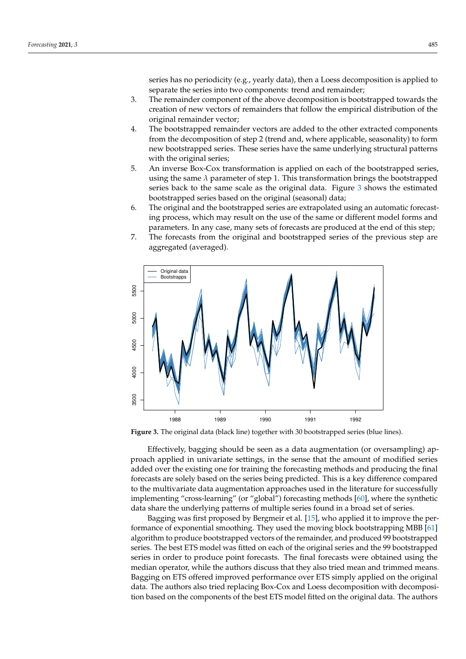series has no periodicity (e.g., yearly data), then a Loess decomposition is applied to separate the series into two components: trend and remainder;

- 3. The remainder component of the above decomposition is bootstrapped towards the creation of new vectors of remainders that follow the empirical distribution of the original remainder vector;
- 4. The bootstrapped remainder vectors are added to the other extracted components from the decomposition of step 2 (trend and, where applicable, seasonality) to form new bootstrapped series. These series have the same underlying structural patterns with the original series;
- 5. An inverse Box-Cox transformation is applied on each of the bootstrapped series, using the same *λ* parameter of step 1. This transformation brings the bootstrapped series back to the same scale as the original data. Figure [3](#page-7-0) shows the estimated bootstrapped series based on the original (seasonal) data;
- 6. The original and the bootstrapped series are extrapolated using an automatic forecasting process, which may result on the use of the same or different model forms and parameters. In any case, many sets of forecasts are produced at the end of this step;
- 7. The forecasts from the original and bootstrapped series of the previous step are aggregated (averaged).

<span id="page-7-0"></span>

**Figure 3.** The original data (black line) together with 30 bootstrapped series (blue lines).

Effectively, bagging should be seen as a data augmentation (or oversampling) approach applied in univariate settings, in the sense that the amount of modified series added over the existing one for training the forecasting methods and producing the final forecasts are solely based on the series being predicted. This is a key difference compared to the multivariate data augmentation approaches used in the literature for successfully implementing "cross-learning" (or "global") forecasting methods [\[60\]](#page-18-16), where the synthetic data share the underlying patterns of multiple series found in a broad set of series.

Bagging was first proposed by Bergmeir et al. [\[15\]](#page-17-3), who applied it to improve the performance of exponential smoothing. They used the moving block bootstrapping MBB [\[61\]](#page-18-17) algorithm to produce bootstrapped vectors of the remainder, and produced 99 bootstrapped series. The best ETS model was fitted on each of the original series and the 99 bootstrapped series in order to produce point forecasts. The final forecasts were obtained using the median operator, while the authors discuss that they also tried mean and trimmed means. Bagging on ETS offered improved performance over ETS simply applied on the original data. The authors also tried replacing Box-Cox and Loess decomposition with decomposition based on the components of the best ETS model fitted on the original data. The authors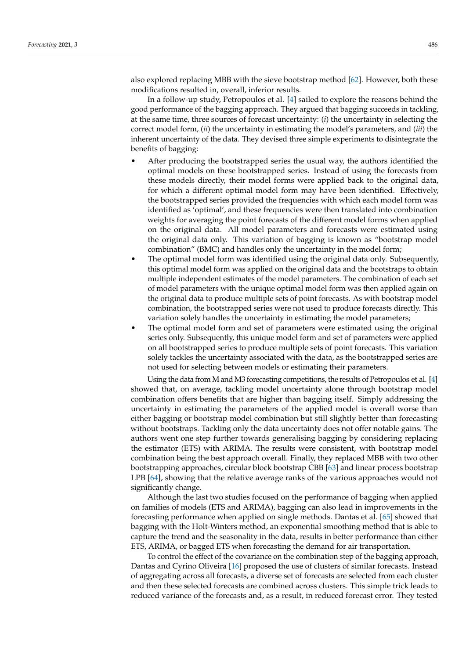also explored replacing MBB with the sieve bootstrap method [\[62\]](#page-18-18). However, both these modifications resulted in, overall, inferior results.

In a follow-up study, Petropoulos et al. [\[4\]](#page-16-3) sailed to explore the reasons behind the good performance of the bagging approach. They argued that bagging succeeds in tackling, at the same time, three sources of forecast uncertainty: (*i*) the uncertainty in selecting the correct model form, (*ii*) the uncertainty in estimating the model's parameters, and (*iii*) the inherent uncertainty of the data. They devised three simple experiments to disintegrate the benefits of bagging:

- After producing the bootstrapped series the usual way, the authors identified the optimal models on these bootstrapped series. Instead of using the forecasts from these models directly, their model forms were applied back to the original data, for which a different optimal model form may have been identified. Effectively, the bootstrapped series provided the frequencies with which each model form was identified as 'optimal', and these frequencies were then translated into combination weights for averaging the point forecasts of the different model forms when applied on the original data. All model parameters and forecasts were estimated using the original data only. This variation of bagging is known as "bootstrap model combination" (BMC) and handles only the uncertainty in the model form;
- The optimal model form was identified using the original data only. Subsequently, this optimal model form was applied on the original data and the bootstraps to obtain multiple independent estimates of the model parameters. The combination of each set of model parameters with the unique optimal model form was then applied again on the original data to produce multiple sets of point forecasts. As with bootstrap model combination, the bootstrapped series were not used to produce forecasts directly. This variation solely handles the uncertainty in estimating the model parameters;
- The optimal model form and set of parameters were estimated using the original series only. Subsequently, this unique model form and set of parameters were applied on all bootstrapped series to produce multiple sets of point forecasts. This variation solely tackles the uncertainty associated with the data, as the bootstrapped series are not used for selecting between models or estimating their parameters.

Using the data from M and M3 forecasting competitions, the results of Petropoulos et al. [\[4\]](#page-16-3) showed that, on average, tackling model uncertainty alone through bootstrap model combination offers benefits that are higher than bagging itself. Simply addressing the uncertainty in estimating the parameters of the applied model is overall worse than either bagging or bootstrap model combination but still slightly better than forecasting without bootstraps. Tackling only the data uncertainty does not offer notable gains. The authors went one step further towards generalising bagging by considering replacing the estimator (ETS) with ARIMA. The results were consistent, with bootstrap model combination being the best approach overall. Finally, they replaced MBB with two other bootstrapping approaches, circular block bootstrap CBB [\[63\]](#page-18-19) and linear process bootstrap LPB [\[64\]](#page-18-20), showing that the relative average ranks of the various approaches would not significantly change.

Although the last two studies focused on the performance of bagging when applied on families of models (ETS and ARIMA), bagging can also lead in improvements in the forecasting performance when applied on single methods. Dantas et al. [\[65\]](#page-18-21) showed that bagging with the Holt-Winters method, an exponential smoothing method that is able to capture the trend and the seasonality in the data, results in better performance than either ETS, ARIMA, or bagged ETS when forecasting the demand for air transportation.

To control the effect of the covariance on the combination step of the bagging approach, Dantas and Cyrino Oliveira [\[16\]](#page-17-4) proposed the use of clusters of similar forecasts. Instead of aggregating across all forecasts, a diverse set of forecasts are selected from each cluster and then these selected forecasts are combined across clusters. This simple trick leads to reduced variance of the forecasts and, as a result, in reduced forecast error. They tested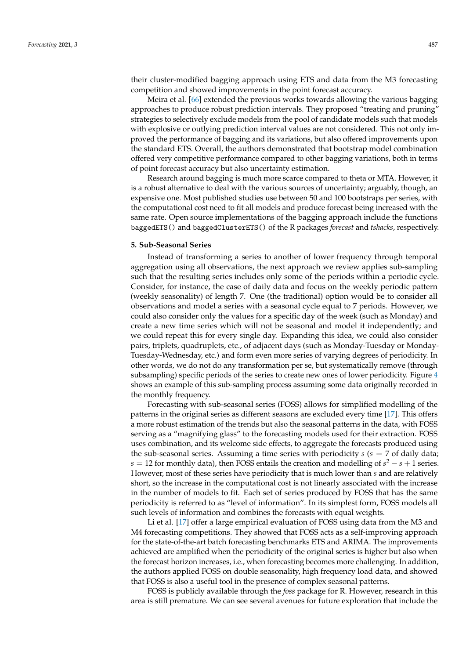their cluster-modified bagging approach using ETS and data from the M3 forecasting competition and showed improvements in the point forecast accuracy.

Meira et al. [\[66\]](#page-18-22) extended the previous works towards allowing the various bagging approaches to produce robust prediction intervals. They proposed "treating and pruning" strategies to selectively exclude models from the pool of candidate models such that models with explosive or outlying prediction interval values are not considered. This not only improved the performance of bagging and its variations, but also offered improvements upon the standard ETS. Overall, the authors demonstrated that bootstrap model combination offered very competitive performance compared to other bagging variations, both in terms of point forecast accuracy but also uncertainty estimation.

Research around bagging is much more scarce compared to theta or MTA. However, it is a robust alternative to deal with the various sources of uncertainty; arguably, though, an expensive one. Most published studies use between 50 and 100 bootstraps per series, with the computational cost need to fit all models and produce forecast being increased with the same rate. Open source implementations of the bagging approach include the functions baggedETS() and baggedClusterETS() of the R packages *forecast* and *tshacks*, respectively.

## **5. Sub-Seasonal Series**

Instead of transforming a series to another of lower frequency through temporal aggregation using all observations, the next approach we review applies sub-sampling such that the resulting series includes only some of the periods within a periodic cycle. Consider, for instance, the case of daily data and focus on the weekly periodic pattern (weekly seasonality) of length 7. One (the traditional) option would be to consider all observations and model a series with a seasonal cycle equal to 7 periods. However, we could also consider only the values for a specific day of the week (such as Monday) and create a new time series which will not be seasonal and model it independently; and we could repeat this for every single day. Expanding this idea, we could also consider pairs, triplets, quadruplets, etc., of adjacent days (such as Monday-Tuesday or Monday-Tuesday-Wednesday, etc.) and form even more series of varying degrees of periodicity. In other words, we do not do any transformation per se, but systematically remove (through subsampling) specific periods of the series to create new ones of lower periodicity. Figure [4](#page-10-1) shows an example of this sub-sampling process assuming some data originally recorded in the monthly frequency.

Forecasting with sub-seasonal series (FOSS) allows for simplified modelling of the patterns in the original series as different seasons are excluded every time [\[17\]](#page-17-5). This offers a more robust estimation of the trends but also the seasonal patterns in the data, with FOSS serving as a "magnifying glass" to the forecasting models used for their extraction. FOSS uses combination, and its welcome side effects, to aggregate the forecasts produced using the sub-seasonal series. Assuming a time series with periodicity *s* (*s* = 7 of daily data; *s* = 12 for monthly data), then FOSS entails the creation and modelling of *s* <sup>2</sup> − *s* + 1 series. However, most of these series have periodicity that is much lower than *s* and are relatively short, so the increase in the computational cost is not linearly associated with the increase in the number of models to fit. Each set of series produced by FOSS that has the same periodicity is referred to as "level of information". In its simplest form, FOSS models all such levels of information and combines the forecasts with equal weights.

Li et al. [\[17\]](#page-17-5) offer a large empirical evaluation of FOSS using data from the M3 and M4 forecasting competitions. They showed that FOSS acts as a self-improving approach for the state-of-the-art batch forecasting benchmarks ETS and ARIMA. The improvements achieved are amplified when the periodicity of the original series is higher but also when the forecast horizon increases, i.e., when forecasting becomes more challenging. In addition, the authors applied FOSS on double seasonality, high frequency load data, and showed that FOSS is also a useful tool in the presence of complex seasonal patterns.

FOSS is publicly available through the *foss* package for R. However, research in this area is still premature. We can see several avenues for future exploration that include the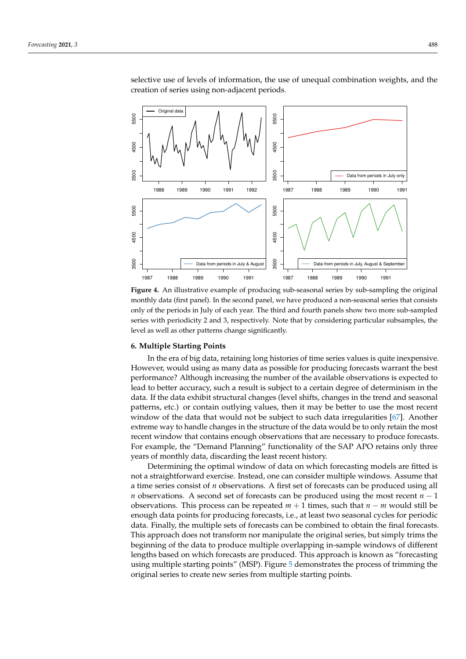<span id="page-10-1"></span>

selective use of levels of information, the use of unequal combination weights, and the creation of series using non-adjacent periods.

**Figure 4.** An illustrative example of producing sub-seasonal series by sub-sampling the original monthly data (first panel). In the second panel, we have produced a non-seasonal series that consists only of the periods in July of each year. The third and fourth panels show two more sub-sampled series with periodicity 2 and 3, respectively. Note that by considering particular subsamples, the level as well as other patterns change significantly.

#### <span id="page-10-0"></span>**6. Multiple Starting Points**

In the era of big data, retaining long histories of time series values is quite inexpensive. However, would using as many data as possible for producing forecasts warrant the best performance? Although increasing the number of the available observations is expected to lead to better accuracy, such a result is subject to a certain degree of determinism in the data. If the data exhibit structural changes (level shifts, changes in the trend and seasonal patterns, etc.) or contain outlying values, then it may be better to use the most recent window of the data that would not be subject to such data irregularities [\[67\]](#page-18-23). Another extreme way to handle changes in the structure of the data would be to only retain the most recent window that contains enough observations that are necessary to produce forecasts. For example, the "Demand Planning" functionality of the SAP APO retains only three years of monthly data, discarding the least recent history.

Determining the optimal window of data on which forecasting models are fitted is not a straightforward exercise. Instead, one can consider multiple windows. Assume that a time series consist of *n* observations. A first set of forecasts can be produced using all *n* observations. A second set of forecasts can be produced using the most recent *n* − 1 observations. This process can be repeated *m* + 1 times, such that *n* − *m* would still be enough data points for producing forecasts, i.e., at least two seasonal cycles for periodic data. Finally, the multiple sets of forecasts can be combined to obtain the final forecasts. This approach does not transform nor manipulate the original series, but simply trims the beginning of the data to produce multiple overlapping in-sample windows of different lengths based on which forecasts are produced. This approach is known as "forecasting using multiple starting points" (MSP). Figure [5](#page-11-1) demonstrates the process of trimming the original series to create new series from multiple starting points.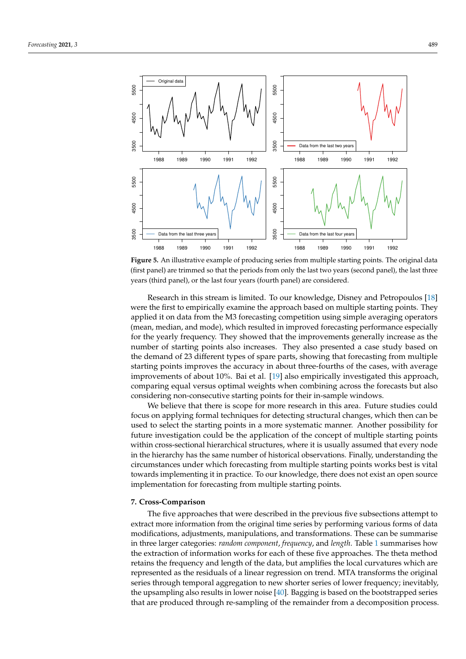<span id="page-11-1"></span>

**Figure 5.** An illustrative example of producing series from multiple starting points. The original data (first panel) are trimmed so that the periods from only the last two years (second panel), the last three years (third panel), or the last four years (fourth panel) are considered.

Research in this stream is limited. To our knowledge, Disney and Petropoulos [\[18\]](#page-17-6) were the first to empirically examine the approach based on multiple starting points. They applied it on data from the M3 forecasting competition using simple averaging operators (mean, median, and mode), which resulted in improved forecasting performance especially for the yearly frequency. They showed that the improvements generally increase as the number of starting points also increases. They also presented a case study based on the demand of 23 different types of spare parts, showing that forecasting from multiple starting points improves the accuracy in about three-fourths of the cases, with average improvements of about 10%. Bai et al. [\[19\]](#page-17-7) also empirically investigated this approach, comparing equal versus optimal weights when combining across the forecasts but also considering non-consecutive starting points for their in-sample windows.

We believe that there is scope for more research in this area. Future studies could focus on applying formal techniques for detecting structural changes, which then can be used to select the starting points in a more systematic manner. Another possibility for future investigation could be the application of the concept of multiple starting points within cross-sectional hierarchical structures, where it is usually assumed that every node in the hierarchy has the same number of historical observations. Finally, understanding the circumstances under which forecasting from multiple starting points works best is vital towards implementing it in practice. To our knowledge, there does not exist an open source implementation for forecasting from multiple starting points.

#### <span id="page-11-0"></span>**7. Cross-Comparison**

The five approaches that were described in the previous five subsections attempt to extract more information from the original time series by performing various forms of data modifications, adjustments, manipulations, and transformations. These can be summarise in three larger categories: *random component*, *frequency*, and *length*. Table [1](#page-12-0) summarises how the extraction of information works for each of these five approaches. The theta method retains the frequency and length of the data, but amplifies the local curvatures which are represented as the residuals of a linear regression on trend. MTA transforms the original series through temporal aggregation to new shorter series of lower frequency; inevitably, the upsampling also results in lower noise [\[40\]](#page-17-27). Bagging is based on the bootstrapped series that are produced through re-sampling of the remainder from a decomposition process.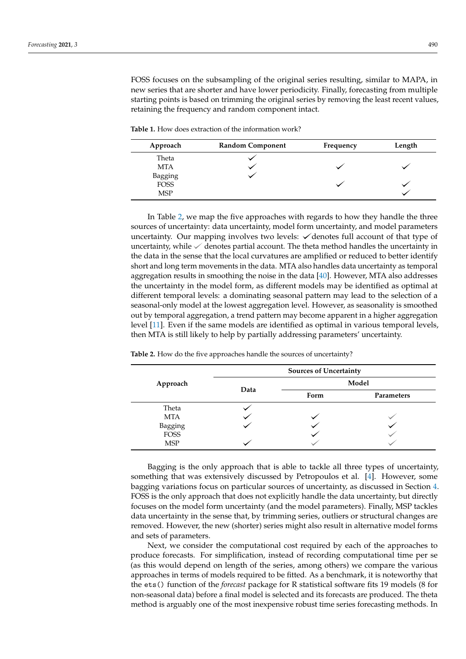FOSS focuses on the subsampling of the original series resulting, similar to MAPA, in new series that are shorter and have lower periodicity. Finally, forecasting from multiple starting points is based on trimming the original series by removing the least recent values, retaining the frequency and random component intact.

<span id="page-12-0"></span>**Table 1.** How does extraction of the information work?

| Approach    | <b>Random Component</b> | Frequency | Length |
|-------------|-------------------------|-----------|--------|
| Theta       |                         |           |        |
| <b>MTA</b>  |                         |           |        |
| Bagging     |                         |           |        |
| <b>FOSS</b> |                         |           |        |
| <b>MSP</b>  |                         |           |        |

In Table [2,](#page-12-1) we map the five approaches with regards to how they handle the three sources of uncertainty: data uncertainty, model form uncertainty, and model parameters uncertainty. Our mapping involves two levels:  $\checkmark$  denotes full account of that type of uncertainty, while  $\checkmark$  denotes partial account. The theta method handles the uncertainty in the data in the sense that the local curvatures are amplified or reduced to better identify short and long term movements in the data. MTA also handles data uncertainty as temporal aggregation results in smoothing the noise in the data [\[40\]](#page-17-27). However, MTA also addresses the uncertainty in the model form, as different models may be identified as optimal at different temporal levels: a dominating seasonal pattern may lead to the selection of a seasonal-only model at the lowest aggregation level. However, as seasonality is smoothed out by temporal aggregation, a trend pattern may become apparent in a higher aggregation level [\[11\]](#page-17-1). Even if the same models are identified as optimal in various temporal levels, then MTA is still likely to help by partially addressing parameters' uncertainty.

|             | <b>Sources of Uncertainty</b> |       |            |  |
|-------------|-------------------------------|-------|------------|--|
| Approach    | Data                          | Model |            |  |
|             |                               | Form  | Parameters |  |
| Theta       |                               |       |            |  |
| <b>MTA</b>  |                               |       |            |  |
| Bagging     |                               |       |            |  |
| <b>FOSS</b> |                               |       |            |  |
| <b>MSP</b>  |                               |       |            |  |

<span id="page-12-1"></span>**Table 2.** How do the five approaches handle the sources of uncertainty?

Bagging is the only approach that is able to tackle all three types of uncertainty, something that was extensively discussed by Petropoulos et al. [\[4\]](#page-16-3). However, some bagging variations focus on particular sources of uncertainty, as discussed in Section [4.](#page-6-0) FOSS is the only approach that does not explicitly handle the data uncertainty, but directly focuses on the model form uncertainty (and the model parameters). Finally, MSP tackles data uncertainty in the sense that, by trimming series, outliers or structural changes are removed. However, the new (shorter) series might also result in alternative model forms and sets of parameters.

Next, we consider the computational cost required by each of the approaches to produce forecasts. For simplification, instead of recording computational time per se (as this would depend on length of the series, among others) we compare the various approaches in terms of models required to be fitted. As a benchmark, it is noteworthy that the ets() function of the *forecast* package for R statistical software fits 19 models (8 for non-seasonal data) before a final model is selected and its forecasts are produced. The theta method is arguably one of the most inexpensive robust time series forecasting methods. In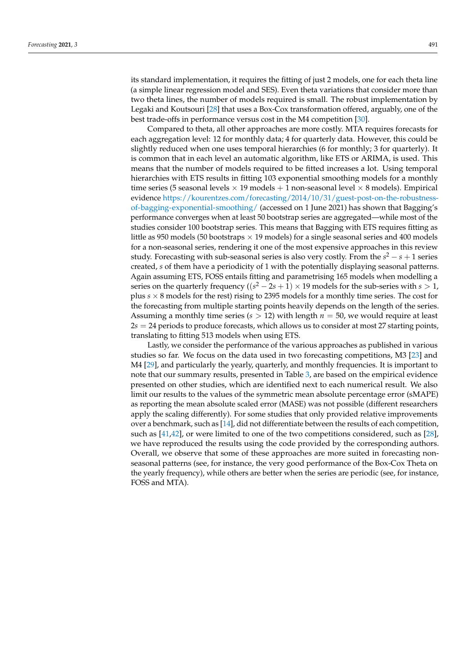its standard implementation, it requires the fitting of just 2 models, one for each theta line (a simple linear regression model and SES). Even theta variations that consider more than two theta lines, the number of models required is small. The robust implementation by Legaki and Koutsouri [\[28\]](#page-17-16) that uses a Box-Cox transformation offered, arguably, one of the best trade-offs in performance versus cost in the M4 competition [\[30\]](#page-17-18).

Compared to theta, all other approaches are more costly. MTA requires forecasts for each aggregation level: 12 for monthly data; 4 for quarterly data. However, this could be slightly reduced when one uses temporal hierarchies (6 for monthly; 3 for quarterly). It is common that in each level an automatic algorithm, like ETS or ARIMA, is used. This means that the number of models required to be fitted increases a lot. Using temporal hierarchies with ETS results in fitting 103 exponential smoothing models for a monthly time series (5 seasonal levels  $\times$  19 models + 1 non-seasonal level  $\times$  8 models). Empirical evidence [https://kourentzes.com/forecasting/2014/10/31/guest-post-on-the-robustness](https://kourentzes.com/forecasting/2014/10/31/guest-post-on-the-robustness-of-bagging-exponential-smoothing/)[of-bagging-exponential-smoothing/](https://kourentzes.com/forecasting/2014/10/31/guest-post-on-the-robustness-of-bagging-exponential-smoothing/) (accessed on 1 June 2021) has shown that Bagging's performance converges when at least 50 bootstrap series are aggregated—while most of the studies consider 100 bootstrap series. This means that Bagging with ETS requires fitting as little as 950 models (50 bootstraps  $\times$  19 models) for a single seasonal series and 400 models for a non-seasonal series, rendering it one of the most expensive approaches in this review study. Forecasting with sub-seasonal series is also very costly. From the *s* <sup>2</sup> − *s* + 1 series created, *s* of them have a periodicity of 1 with the potentially displaying seasonal patterns. Again assuming ETS, FOSS entails fitting and parametrising 165 models when modelling a series on the quarterly frequency (( $s^2 - 2s + 1$ ) × 19 models for the sub-series with  $s > 1$ , plus  $s \times 8$  models for the rest) rising to 2395 models for a monthly time series. The cost for the forecasting from multiple starting points heavily depends on the length of the series. Assuming a monthly time series  $(s > 12)$  with length  $n = 50$ , we would require at least 2*s* = 24 periods to produce forecasts, which allows us to consider at most 27 starting points, translating to fitting 513 models when using ETS.

Lastly, we consider the performance of the various approaches as published in various studies so far. We focus on the data used in two forecasting competitions, M3 [\[23\]](#page-17-11) and M4 [\[29\]](#page-17-17), and particularly the yearly, quarterly, and monthly frequencies. It is important to note that our summary results, presented in Table [3,](#page-14-1) are based on the empirical evidence presented on other studies, which are identified next to each numerical result. We also limit our results to the values of the symmetric mean absolute percentage error (sMAPE) as reporting the mean absolute scaled error (MASE) was not possible (different researchers apply the scaling differently). For some studies that only provided relative improvements over a benchmark, such as [\[14\]](#page-17-2), did not differentiate between the results of each competition, such as [\[41](#page-17-28)[,42\]](#page-18-0), or were limited to one of the two competitions considered, such as [\[28\]](#page-17-16), we have reproduced the results using the code provided by the corresponding authors. Overall, we observe that some of these approaches are more suited in forecasting nonseasonal patterns (see, for instance, the very good performance of the Box-Cox Theta on the yearly frequency), while others are better when the series are periodic (see, for instance, FOSS and MTA).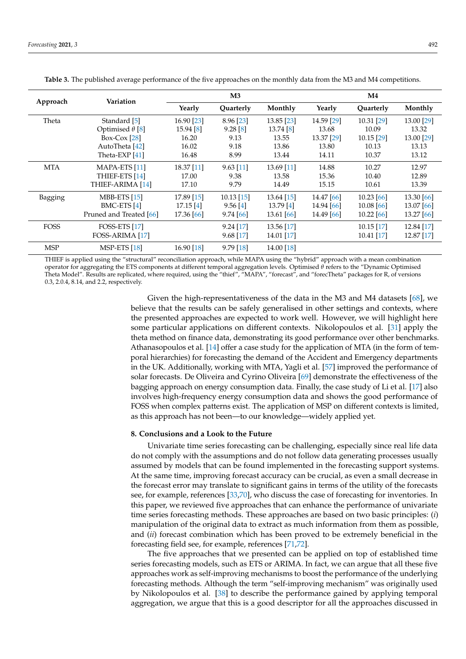<span id="page-14-1"></span>

| Approach   | Variation                | M3         |             | $\mathbf{M}4$ |            |              |            |
|------------|--------------------------|------------|-------------|---------------|------------|--------------|------------|
|            |                          | Yearly     | Quarterly   | Monthly       | Yearly     | Quarterly    | Monthly    |
| Theta      | Standard [5]             | 16.90 [23] | 8.96 [23]   | 13.85 [23]    | 14.59 [29] | 10.31 [29]   | 13.00 [29] |
|            | Optimised $\theta$ [8]   | 15.94 [8]  | $9.28\ [8]$ | 13.74 [8]     | 13.68      | 10.09        | 13.32      |
|            | Box-Cox $[28]$           | 16.20      | 9.13        | 13.55         | 13.37 [29] | $10.15$ [29] | 13.00 [29] |
|            | AutoTheta [42]           | 16.02      | 9.18        | 13.86         | 13.80      | 10.13        | 13.13      |
|            | Theta-EXP $[41]$         | 16.48      | 8.99        | 13.44         | 14.11      | 10.37        | 13.12      |
| <b>MTA</b> | MAPA-ETS <sup>[11]</sup> | 18.37 [11] | $9.63$ [11] | 13.69 [11]    | 14.88      | 10.27        | 12.97      |
|            | THIEF-ETS [14]           | 17.00      | 9.38        | 13.58         | 15.36      | 10.40        | 12.89      |
|            | THIEF-ARIMA [14]         | 17.10      | 9.79        | 14.49         | 15.15      | 10.61        | 13.39      |

BMC-ETS [\[4\]](#page-16-3) 17.15 [4] 9.56 [4] 13.79 [4] 14.94 [\[66\]](#page-18-22) 10.08 [66] 13.07 [66] Pruned and Treated [\[66\]](#page-18-22) 17.36 [\[66\]](#page-18-22) 9.74 [\[66\]](#page-18-22) 13.61 [\[66\]](#page-18-22) 14.49 [\[66\]](#page-18-22) 10.22 [\[66\]](#page-18-22) 13.27 [\[66\]](#page-18-22)

**Table 3.** The published average performance of the five approaches on the monthly data from the M3 and M4 competitions.

THIEF is applied using the "structural" reconciliation approach, while MAPA using the "hybrid" approach with a mean combination operator for aggregating the ETS components at different temporal aggregation levels. Optimised *θ* refers to the "Dynamic Optimised Theta Model". Results are replicated, where required, using the "thief", "MAPA", "forecast", and "forecTheta" packages for R, of versions 0.3, 2.0.4, 8.14, and 2.2, respectively.

MSP MSP-ETS [\[18\]](#page-17-6) 16.90 [18] 9.79 [18] 14.00 [18]

Bagging MBB-ETS [\[15\]](#page-17-3) 17.89 [\[15\]](#page-17-3) 10.13 [\[15\]](#page-17-3) 13.64 [\[15\]](#page-17-3) 14.47 [\[66\]](#page-18-22) 10.23 [\[66\]](#page-18-22) 13.30 [\[66\]](#page-18-22)

FOSS FOSS-ETS [\[17\]](#page-17-5) 9.24 [17] 13.56 [17] 10.15 [17] 12.84 [17] 12.84 [17] 160SS-ARIMA [17] 12.87 [17] 12.87 [17] FOSS-ARIMA [\[17\]](#page-17-5) 9.68 [17] 14.01 [17] 10.41 [17] 10.41 [17]

> Given the high-representativeness of the data in the M3 and M4 datasets [\[68\]](#page-18-24), we believe that the results can be safely generalised in other settings and contexts, where the presented approaches are expected to work well. However, we will highlight here some particular applications on different contexts. Nikolopoulos et al. [\[31\]](#page-17-19) apply the theta method on finance data, demonstrating its good performance over other benchmarks. Athanasopoulos et al. [\[14\]](#page-17-2) offer a case study for the application of MTA (in the form of temporal hierarchies) for forecasting the demand of the Accident and Emergency departments in the UK. Additionally, working with MTA, Yagli et al. [\[57\]](#page-18-13) improved the performance of solar forecasts. De Oliveira and Cyrino Oliveira [\[69\]](#page-18-25) demonstrate the effectiveness of the bagging approach on energy consumption data. Finally, the case study of Li et al. [\[17\]](#page-17-5) also involves high-frequency energy consumption data and shows the good performance of FOSS when complex patterns exist. The application of MSP on different contexts is limited, as this approach has not been—to our knowledge—widely applied yet.

#### <span id="page-14-0"></span>**8. Conclusions and a Look to the Future**

Univariate time series forecasting can be challenging, especially since real life data do not comply with the assumptions and do not follow data generating processes usually assumed by models that can be found implemented in the forecasting support systems. At the same time, improving forecast accuracy can be crucial, as even a small decrease in the forecast error may translate to significant gains in terms of the utility of the forecasts see, for example, references [\[33,](#page-17-21)[70\]](#page-18-26), who discuss the case of forecasting for inventories. In this paper, we reviewed five approaches that can enhance the performance of univariate time series forecasting methods. These approaches are based on two basic principles: (*i*) manipulation of the original data to extract as much information from them as possible, and (*ii*) forecast combination which has been proved to be extremely beneficial in the forecasting field see, for example, references [\[71](#page-18-27)[,72\]](#page-18-28).

The five approaches that we presented can be applied on top of established time series forecasting models, such as ETS or ARIMA. In fact, we can argue that all these five approaches work as self-improving mechanisms to boost the performance of the underlying forecasting methods. Although the term "self-improving mechanism" was originally used by Nikolopoulos et al. [\[38\]](#page-17-26) to describe the performance gained by applying temporal aggregation, we argue that this is a good descriptor for all the approaches discussed in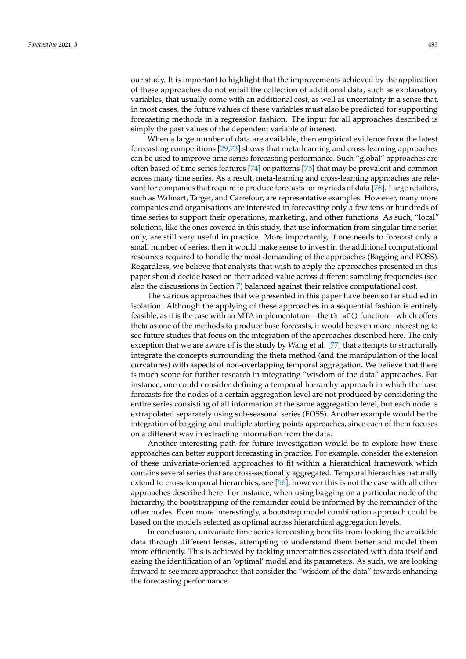our study. It is important to highlight that the improvements achieved by the application of these approaches do not entail the collection of additional data, such as explanatory variables, that usually come with an additional cost, as well as uncertainty in a sense that, in most cases, the future values of these variables must also be predicted for supporting forecasting methods in a regression fashion. The input for all approaches described is simply the past values of the dependent variable of interest.

When a large number of data are available, then empirical evidence from the latest forecasting competitions [\[29](#page-17-17)[,73\]](#page-18-29) shows that meta-learning and cross-learning approaches can be used to improve time series forecasting performance. Such "global" approaches are often based of time series features [\[74\]](#page-18-30) or patterns [\[75\]](#page-19-0) that may be prevalent and common across many time series. As a result, meta-learning and cross-learning approaches are relevant for companies that require to produce forecasts for myriads of data [\[76\]](#page-19-1). Large retailers, such as Walmart, Target, and Carrefour, are representative examples. However, many more companies and organisations are interested in forecasting only a few tens or hundreds of time series to support their operations, marketing, and other functions. As such, "local" solutions, like the ones covered in this study, that use information from singular time series only, are still very useful in practice. More importantly, if one needs to forecast only a small number of series, then it would make sense to invest in the additional computational resources required to handle the most demanding of the approaches (Bagging and FOSS). Regardless, we believe that analysts that wish to apply the approaches presented in this paper should decide based on their added-value across different sampling frequencies (see also the discussions in Section [7\)](#page-11-0) balanced against their relative computational cost.

The various approaches that we presented in this paper have been so far studied in isolation. Although the applying of these approaches in a sequential fashion is entirely feasible, as it is the case with an MTA implementation—the thief() function—which offers theta as one of the methods to produce base forecasts, it would be even more interesting to see future studies that focus on the integration of the approaches described here. The only exception that we are aware of is the study by Wang et al. [\[77\]](#page-19-2) that attempts to structurally integrate the concepts surrounding the theta method (and the manipulation of the local curvatures) with aspects of non-overlapping temporal aggregation. We believe that there is much scope for further research in integrating "wisdom of the data" approaches. For instance, one could consider defining a temporal hierarchy approach in which the base forecasts for the nodes of a certain aggregation level are not produced by considering the entire series consisting of all information at the same aggregation level, but each node is extrapolated separately using sub-seasonal series (FOSS). Another example would be the integration of bagging and multiple starting points approaches, since each of them focuses on a different way in extracting information from the data.

Another interesting path for future investigation would be to explore how these approaches can better support forecasting in practice. For example, consider the extension of these univariate-oriented approaches to fit within a hierarchical framework which contains several series that are cross-sectionally aggregated. Temporal hierarchies naturally extend to cross-temporal hierarchies, see [\[56\]](#page-18-12), however this is not the case with all other approaches described here. For instance, when using bagging on a particular node of the hierarchy, the bootstrapping of the remainder could be informed by the remainder of the other nodes. Even more interestingly, a bootstrap model combination approach could be based on the models selected as optimal across hierarchical aggregation levels.

In conclusion, univariate time series forecasting benefits from looking the available data through different lenses, attempting to understand them better and model them more efficiently. This is achieved by tackling uncertainties associated with data itself and easing the identification of an 'optimal' model and its parameters. As such, we are looking forward to see more approaches that consider the "wisdom of the data" towards enhancing the forecasting performance.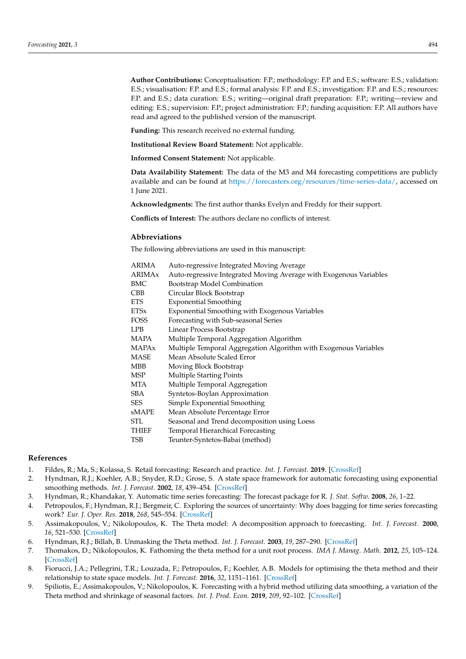**Author Contributions:** Conceptualisation: F.P.; methodology: F.P. and E.S.; software: E.S.; validation: E.S.; visualisation: F.P. and E.S.; formal analysis: F.P. and E.S.; investigation: F.P. and E.S.; resources: F.P. and E.S.; data curation: E.S.; writing—original draft preparation: F.P.; writing—review and editing: E.S.; supervision: F.P.; project administration: F.P.; funding acquisition: F.P. All authors have read and agreed to the published version of the manuscript.

**Funding:** This research received no external funding.

**Institutional Review Board Statement:** Not applicable.

**Informed Consent Statement:** Not applicable.

**Data Availability Statement:** The data of the M3 and M4 forecasting competitions are publicly available and can be found at [https://forecasters.org/resources/time-series-data/,](https://forecasters.org/resources/time-series-data/) accessed on 1 June 2021.

**Acknowledgments:** The first author thanks Evelyn and Freddy for their support.

**Conflicts of Interest:** The authors declare no conflicts of interest.

## **Abbreviations**

The following abbreviations are used in this manuscript:

| ARIMA         | Auto-regressive Integrated Moving Average                          |
|---------------|--------------------------------------------------------------------|
| <b>ARIMAx</b> | Auto-regressive Integrated Moving Average with Exogenous Variables |
| BMC           | Bootstrap Model Combination                                        |
| CBB           | Circular Block Bootstrap                                           |
| ETS           | <b>Exponential Smoothing</b>                                       |
| ETSx          | Exponential Smoothing with Exogenous Variables                     |
| FOSS          | Forecasting with Sub-seasonal Series                               |
| LPB           | Linear Process Bootstrap                                           |
| MAPA          | Multiple Temporal Aggregation Algorithm                            |
| MAPAx         | Multiple Temporal Aggregation Algorithm with Exogenous Variables   |
| MASE          | Mean Absolute Scaled Error                                         |
| MBB           | Moving Block Bootstrap                                             |
| MSP           | <b>Multiple Starting Points</b>                                    |
| MTA           | Multiple Temporal Aggregation                                      |
| SBA           | Syntetos-Boylan Approximation                                      |
| SES           | Simple Exponential Smoothing                                       |
| sMAPE         | Mean Absolute Percentage Error                                     |
| STL           | Seasonal and Trend decomposition using Loess                       |
| THIEF         | <b>Temporal Hierarchical Forecasting</b>                           |
| TSB           | Teunter-Syntetos-Babai (method)                                    |
|               |                                                                    |

#### **References**

- <span id="page-16-0"></span>1. Fildes, R.; Ma, S.; Kolassa, S. Retail forecasting: Research and practice. *Int. J. Forecast.* **2019**. [\[CrossRef\]](http://doi.org/10.1016/j.ijforecast.2019.06.004)
- <span id="page-16-1"></span>2. Hyndman, R.J.; Koehler, A.B.; Snyder, R.D.; Grose, S. A state space framework for automatic forecasting using exponential smoothing methods. *Int. J. Forecast.* **2002**, *18*, 439–454. [\[CrossRef\]](http://dx.doi.org/10.1016/S0169-2070(01)00110-8)
- <span id="page-16-2"></span>3. Hyndman, R.; Khandakar, Y. Automatic time series forecasting: The forecast package for R. *J. Stat. Softw.* **2008**, *26*, 1–22.
- <span id="page-16-3"></span>4. Petropoulos, F.; Hyndman, R.J.; Bergmeir, C. Exploring the sources of uncertainty: Why does bagging for time series forecasting work? *Eur. J. Oper. Res.* **2018**, *268*, 545–554. [\[CrossRef\]](http://dx.doi.org/10.1016/j.ejor.2018.01.045)
- <span id="page-16-4"></span>5. Assimakopoulos, V.; Nikolopoulos, K. The Theta model: A decomposition approach to forecasting. *Int. J. Forecast.* **2000**, *16*, 521–530. [\[CrossRef\]](http://dx.doi.org/10.1016/S0169-2070(00)00066-2)
- <span id="page-16-7"></span>6. Hyndman, R.J.; Billah, B. Unmasking the Theta method. *Int. J. Forecast.* **2003**, *19*, 287–290. [\[CrossRef\]](http://dx.doi.org/10.1016/S0169-2070(01)00143-1)
- 7. Thomakos, D.; Nikolopoulos, K. Fathoming the theta method for a unit root process. *IMA J. Manag. Math.* **2012**, *25*, 105–124. [\[CrossRef\]](http://dx.doi.org/10.1093/imaman/dps030)
- <span id="page-16-6"></span>8. Fiorucci, J.A.; Pellegrini, T.R.; Louzada, F.; Petropoulos, F.; Koehler, A.B. Models for optimising the theta method and their relationship to state space models. *Int. J. Forecast.* **2016**, *32*, 1151–1161. [\[CrossRef\]](http://dx.doi.org/10.1016/j.ijforecast.2016.02.005)
- <span id="page-16-5"></span>9. Spiliotis, E.; Assimakopoulos, V.; Nikolopoulos, K. Forecasting with a hybrid method utilizing data smoothing, a variation of the Theta method and shrinkage of seasonal factors. *Int. J. Prod. Econ.* **2019**, *209*, 92–102. [\[CrossRef\]](http://dx.doi.org/10.1016/j.ijpe.2018.01.020)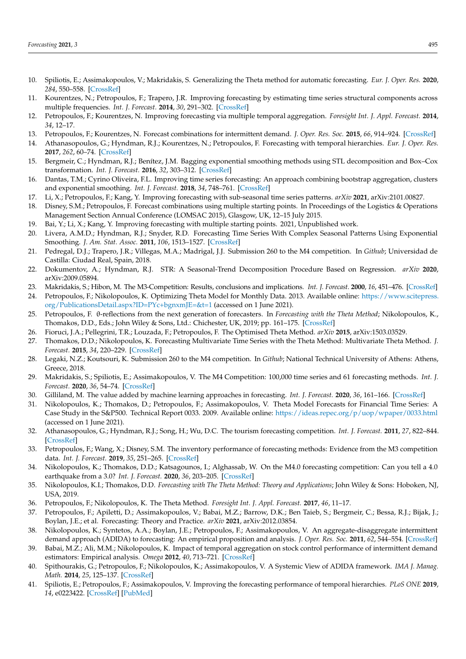- <span id="page-17-0"></span>10. Spiliotis, E.; Assimakopoulos, V.; Makridakis, S. Generalizing the Theta method for automatic forecasting. *Eur. J. Oper. Res.* **2020**, *284*, 550–558. [\[CrossRef\]](http://dx.doi.org/10.1016/j.ejor.2020.01.007)
- <span id="page-17-1"></span>11. Kourentzes, N.; Petropoulos, F.; Trapero, J.R. Improving forecasting by estimating time series structural components across multiple frequencies. *Int. J. Forecast.* **2014**, *30*, 291–302. [\[CrossRef\]](http://dx.doi.org/10.1016/j.ijforecast.2013.09.006)
- 12. Petropoulos, F.; Kourentzes, N. Improving forecasting via multiple temporal aggregation. *Foresight Int. J. Appl. Forecast.* **2014**, *34*, 12–17.
- <span id="page-17-29"></span>13. Petropoulos, F.; Kourentzes, N. Forecast combinations for intermittent demand. *J. Oper. Res. Soc.* **2015**, *66*, 914–924. [\[CrossRef\]](http://dx.doi.org/10.1057/jors.2014.62)
- <span id="page-17-2"></span>14. Athanasopoulos, G.; Hyndman, R.J.; Kourentzes, N.; Petropoulos, F. Forecasting with temporal hierarchies. *Eur. J. Oper. Res.* **2017**, *262*, 60–74. [\[CrossRef\]](http://dx.doi.org/10.1016/j.ejor.2017.02.046)
- <span id="page-17-3"></span>15. Bergmeir, C.; Hyndman, R.J.; Benítez, J.M. Bagging exponential smoothing methods using STL decomposition and Box–Cox transformation. *Int. J. Forecast.* **2016**, *32*, 303–312. [\[CrossRef\]](http://dx.doi.org/10.1016/j.ijforecast.2015.07.002)
- <span id="page-17-4"></span>16. Dantas, T.M.; Cyrino Oliveira, F.L. Improving time series forecasting: An approach combining bootstrap aggregation, clusters and exponential smoothing. *Int. J. Forecast.* **2018**, *34*, 748–761. [\[CrossRef\]](http://dx.doi.org/10.1016/j.ijforecast.2018.05.006)
- <span id="page-17-5"></span>17. Li, X.; Petropoulos, F.; Kang, Y. Improving forecasting with sub-seasonal time series patterns. *arXiv* **2021**, arXiv:2101.00827.
- <span id="page-17-6"></span>18. Disney, S.M.; Petropoulos, F. Forecast combinations using multiple starting points. In Proceedings of the Logistics & Operations Management Section Annual Conference (LOMSAC 2015), Glasgow, UK, 12–15 July 2015.
- <span id="page-17-7"></span>19. Bai, Y.; Li, X.; Kang, Y. Improving forecasting with multiple starting points. 2021, Unpublished work.
- <span id="page-17-8"></span>20. Livera, A.M.D.; Hyndman, R.J.; Snyder, R.D. Forecasting Time Series With Complex Seasonal Patterns Using Exponential Smoothing. *J. Am. Stat. Assoc.* **2011**, *106*, 1513–1527. [\[CrossRef\]](http://dx.doi.org/10.1198/jasa.2011.tm09771)
- <span id="page-17-9"></span>21. Pedregal, D.J.; Trapero, J.R.; Villegas, M.A.; Madrigal, J.J. Submission 260 to the M4 competition. In *Github*; Universidad de Castilla: Ciudad Real, Spain, 2018.
- <span id="page-17-10"></span>22. Dokumentov, A.; Hyndman, R.J. STR: A Seasonal-Trend Decomposition Procedure Based on Regression. *arXiv* **2020**, arXiv:2009.05894.
- <span id="page-17-11"></span>23. Makridakis, S.; Hibon, M. The M3-Competition: Results, conclusions and implications. *Int. J. Forecast.* **2000**, *16*, 451–476. [\[CrossRef\]](http://dx.doi.org/10.1016/S0169-2070(00)00057-1)
- <span id="page-17-12"></span>24. Petropoulos, F.; Nikolopoulos, K. Optimizing Theta Model for Monthly Data. 2013. Available online: [https://www.scitepress.](https://www.scitepress.org/PublicationsDetail.aspx?ID=PYc+bgnxmJE=&t=1) [org/PublicationsDetail.aspx?ID=PYc+bgnxmJE=&t=1](https://www.scitepress.org/PublicationsDetail.aspx?ID=PYc+bgnxmJE=&t=1) (accessed on 1 June 2021).
- <span id="page-17-13"></span>25. Petropoulos, F. θ-reflections from the next generation of forecasters. In *Forecasting with the Theta Method*; Nikolopoulos, K., Thomakos, D.D., Eds.; John Wiley & Sons, Ltd.: Chichester, UK, 2019; pp. 161–175. [\[CrossRef\]](http://dx.doi.org/10.1002/9781119320784.ch6)
- <span id="page-17-14"></span>26. Fioruci, J.A.; Pellegrini, T.R.; Louzada, F.; Petropoulos, F. The Optimised Theta Method. *arXiv* **2015**, arXiv:1503.03529.
- <span id="page-17-15"></span>27. Thomakos, D.D.; Nikolopoulos, K. Forecasting Multivariate Time Series with the Theta Method: Multivariate Theta Method. *J. Forecast.* **2015**, *34*, 220–229. [\[CrossRef\]](http://dx.doi.org/10.1002/for.2334)
- <span id="page-17-16"></span>28. Legaki, N.Z.; Koutsouri, K. Submission 260 to the M4 competition. In *Github*; National Technical University of Athens: Athens, Greece, 2018.
- <span id="page-17-17"></span>29. Makridakis, S.; Spiliotis, E.; Assimakopoulos, V. The M4 Competition: 100,000 time series and 61 forecasting methods. *Int. J. Forecast.* **2020**, *36*, 54–74. [\[CrossRef\]](http://dx.doi.org/10.1016/j.ijforecast.2019.04.014)
- <span id="page-17-18"></span>30. Gilliland, M. The value added by machine learning approaches in forecasting. *Int. J. Forecast.* **2020**, *36*, 161–166. [\[CrossRef\]](http://dx.doi.org/10.1016/j.ijforecast.2019.04.016)
- <span id="page-17-19"></span>31. Nikolopoulos, K.; Thomakos, D.; Petropoulos, F.; Assimakopoulos, V. Theta Model Forecasts for Financial Time Series: A Case Study in the S&P500. Technical Report 0033. 2009. Available online: <https://ideas.repec.org/p/uop/wpaper/0033.html> (accessed on 1 June 2021).
- <span id="page-17-20"></span>32. Athanasopoulos, G.; Hyndman, R.J.; Song, H.; Wu, D.C. The tourism forecasting competition. *Int. J. Forecast.* **2011**, *27*, 822–844. [\[CrossRef\]](http://dx.doi.org/10.1016/j.ijforecast.2010.04.009)
- <span id="page-17-21"></span>33. Petropoulos, F.; Wang, X.; Disney, S.M. The inventory performance of forecasting methods: Evidence from the M3 competition data. *Int. J. Forecast.* **2019**, *35*, 251–265. [\[CrossRef\]](http://dx.doi.org/10.1016/j.ijforecast.2018.01.004)
- <span id="page-17-22"></span>34. Nikolopoulos, K.; Thomakos, D.D.; Katsagounos, I.; Alghassab, W. On the M4.0 forecasting competition: Can you tell a 4.0 earthquake from a 3.0? *Int. J. Forecast.* **2020**, *36*, 203–205. [\[CrossRef\]](http://dx.doi.org/10.1016/j.ijforecast.2019.03.023)
- <span id="page-17-23"></span>35. Nikolopoulos, K.I.; Thomakos, D.D. *Forecasting with The Theta Method: Theory and Applications*; John Wiley & Sons: Hoboken, NJ, USA, 2019.
- <span id="page-17-24"></span>36. Petropoulos, F.; Nikolopoulos, K. The Theta Method. *Foresight Int. J. Appl. Forecast.* **2017**, *46*, 11–17.
- <span id="page-17-25"></span>37. Petropoulos, F.; Apiletti, D.; Assimakopoulos, V.; Babai, M.Z.; Barrow, D.K.; Ben Taieb, S.; Bergmeir, C.; Bessa, R.J.; Bijak, J.; Boylan, J.E.; et al. Forecasting: Theory and Practice. *arXiv* **2021**, arXiv:2012.03854.
- <span id="page-17-26"></span>38. Nikolopoulos, K.; Syntetos, A.A.; Boylan, J.E.; Petropoulos, F.; Assimakopoulos, V. An aggregate-disaggregate intermittent demand approach (ADIDA) to forecasting: An empirical proposition and analysis. *J. Oper. Res. Soc.* **2011**, *62*, 544–554. [\[CrossRef\]](http://dx.doi.org/10.1057/jors.2010.32)
- 39. Babai, M.Z.; Ali, M.M.; Nikolopoulos, K. Impact of temporal aggregation on stock control performance of intermittent demand estimators: Empirical analysis. *Omega* **2012**, *40*, 713–721. [\[CrossRef\]](http://dx.doi.org/10.1016/j.omega.2011.09.004)
- <span id="page-17-27"></span>40. Spithourakis, G.; Petropoulos, F.; Nikolopoulos, K.; Assimakopoulos, V. A Systemic View of ADIDA framework. *IMA J. Manag. Math.* **2014**, *25*, 125–137. [\[CrossRef\]](http://dx.doi.org/10.1093/imaman/dps031)
- <span id="page-17-28"></span>41. Spiliotis, E.; Petropoulos, F.; Assimakopoulos, V. Improving the forecasting performance of temporal hierarchies. *PLoS ONE* **2019**, *14*, e0223422. [\[CrossRef\]](http://dx.doi.org/10.1371/journal.pone.0223422) [\[PubMed\]](http://www.ncbi.nlm.nih.gov/pubmed/31581211)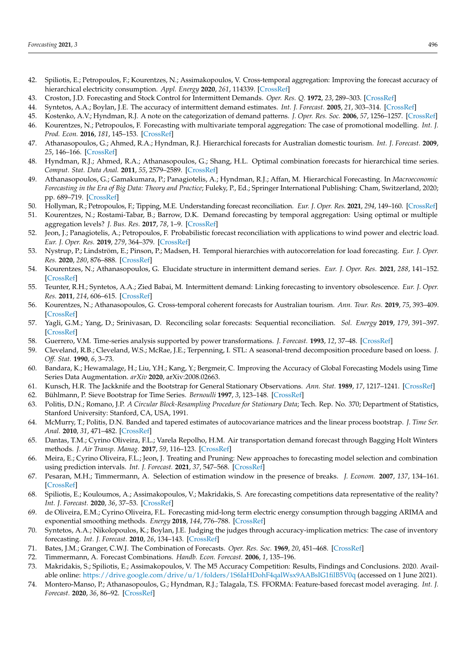- <span id="page-18-0"></span>42. Spiliotis, E.; Petropoulos, F.; Kourentzes, N.; Assimakopoulos, V. Cross-temporal aggregation: Improving the forecast accuracy of hierarchical electricity consumption. *Appl. Energy* **2020**, *261*, 114339. [\[CrossRef\]](http://dx.doi.org/10.1016/j.apenergy.2019.114339)
- <span id="page-18-1"></span>43. Croston, J.D. Forecasting and Stock Control for Intermittent Demands. *Oper. Res. Q.* **1972**, *23*, 289–303. [\[CrossRef\]](http://dx.doi.org/10.1057/jors.1972.50)
- <span id="page-18-2"></span>44. Syntetos, A.A.; Boylan, J.E. The accuracy of intermittent demand estimates. *Int. J. Forecast.* **2005**, *21*, 303–314. [\[CrossRef\]](http://dx.doi.org/10.1016/j.ijforecast.2004.10.001)
- <span id="page-18-3"></span>45. Kostenko, A.V.; Hyndman, R.J. A note on the categorization of demand patterns. *J. Oper. Res. Soc.* **2006**, *57*, 1256–1257. [\[CrossRef\]](http://dx.doi.org/10.1057/palgrave.jors.2602211)
- <span id="page-18-4"></span>46. Kourentzes, N.; Petropoulos, F. Forecasting with multivariate temporal aggregation: The case of promotional modelling. *Int. J. Prod. Econ.* **2016**, *181*, 145–153. [\[CrossRef\]](http://dx.doi.org/10.1016/j.ijpe.2015.09.011)
- <span id="page-18-5"></span>47. Athanasopoulos, G.; Ahmed, R.A.; Hyndman, R.J. Hierarchical forecasts for Australian domestic tourism. *Int. J. Forecast.* **2009**, *25*, 146–166. [\[CrossRef\]](http://dx.doi.org/10.1016/j.ijforecast.2008.07.004)
- 48. Hyndman, R.J.; Ahmed, R.A.; Athanasopoulos, G.; Shang, H.L. Optimal combination forecasts for hierarchical time series. *Comput. Stat. Data Anal.* **2011**, *55*, 2579–2589. [\[CrossRef\]](http://dx.doi.org/10.1016/j.csda.2011.03.006)
- 49. Athanasopoulos, G.; Gamakumara, P.; Panagiotelis, A.; Hyndman, R.J.; Affan, M. Hierarchical Forecasting. In *Macroeconomic Forecasting in the Era of Big Data: Theory and Practice*; Fuleky, P., Ed.; Springer International Publishing: Cham, Switzerland, 2020; pp. 689–719. [\[CrossRef\]](http://dx.doi.org/10.1007/978-3-030-31150-6_21)
- <span id="page-18-6"></span>50. Hollyman, R.; Petropoulos, F.; Tipping, M.E. Understanding forecast reconciliation. *Eur. J. Oper. Res.* **2021**, *294*, 149–160. [\[CrossRef\]](http://dx.doi.org/10.1016/j.ejor.2021.01.017)
- <span id="page-18-7"></span>51. Kourentzes, N.; Rostami-Tabar, B.; Barrow, D.K. Demand forecasting by temporal aggregation: Using optimal or multiple aggregation levels? *J. Bus. Res.* **2017**, *78*, 1–9. [\[CrossRef\]](http://dx.doi.org/10.1016/j.jbusres.2017.04.016)
- <span id="page-18-8"></span>52. Jeon, J.; Panagiotelis, A.; Petropoulos, F. Probabilistic forecast reconciliation with applications to wind power and electric load. *Eur. J. Oper. Res.* **2019**, *279*, 364–379. [\[CrossRef\]](http://dx.doi.org/10.1016/j.ejor.2019.05.020)
- <span id="page-18-9"></span>53. Nystrup, P.; Lindström, E.; Pinson, P.; Madsen, H. Temporal hierarchies with autocorrelation for load forecasting. *Eur. J. Oper. Res.* **2020**, *280*, 876–888. [\[CrossRef\]](http://dx.doi.org/10.1016/j.ejor.2019.07.061)
- <span id="page-18-10"></span>54. Kourentzes, N.; Athanasopoulos, G. Elucidate structure in intermittent demand series. *Eur. J. Oper. Res.* **2021**, *288*, 141–152. [\[CrossRef\]](http://dx.doi.org/10.1016/j.ejor.2020.05.046)
- <span id="page-18-11"></span>55. Teunter, R.H.; Syntetos, A.A.; Zied Babai, M. Intermittent demand: Linking forecasting to inventory obsolescence. *Eur. J. Oper. Res.* **2011**, *214*, 606–615. [\[CrossRef\]](http://dx.doi.org/10.1016/j.ejor.2011.05.018)
- <span id="page-18-12"></span>56. Kourentzes, N.; Athanasopoulos, G. Cross-temporal coherent forecasts for Australian tourism. *Ann. Tour. Res.* **2019**, *75*, 393–409. [\[CrossRef\]](http://dx.doi.org/10.1016/j.annals.2019.02.001)
- <span id="page-18-13"></span>57. Yagli, G.M.; Yang, D.; Srinivasan, D. Reconciling solar forecasts: Sequential reconciliation. *Sol. Energy* **2019**, *179*, 391–397. [\[CrossRef\]](http://dx.doi.org/10.1016/j.solener.2018.12.075)
- <span id="page-18-14"></span>58. Guerrero, V.M. Time-series analysis supported by power transformations. *J. Forecast.* **1993**, *12*, 37–48. [\[CrossRef\]](http://dx.doi.org/10.1002/for.3980120104)
- <span id="page-18-15"></span>59. Cleveland, R.B.; Cleveland, W.S.; McRae, J.E.; Terpenning, I. STL: A seasonal-trend decomposition procedure based on loess. *J. Off. Stat.* **1990**, *6*, 3–73.
- <span id="page-18-16"></span>60. Bandara, K.; Hewamalage, H.; Liu, Y.H.; Kang, Y.; Bergmeir, C. Improving the Accuracy of Global Forecasting Models using Time Series Data Augmentation. *arXiv* **2020**, arXiv:2008.02663.
- <span id="page-18-17"></span>61. Kunsch, H.R. The Jackknife and the Bootstrap for General Stationary Observations. *Ann. Stat.* **1989**, *17*, 1217–1241. [\[CrossRef\]](http://dx.doi.org/10.1214/aos/1176347265)
- <span id="page-18-18"></span>62. Bühlmann, P. Sieve Bootstrap for Time Series. *Bernoulli* **1997**, *3*, 123–148. [\[CrossRef\]](http://dx.doi.org/10.2307/3318584)
- <span id="page-18-19"></span>63. Politis, D.N.; Romano, J.P. *A Circular Block-Resampling Procedure for Stationary Data*; Tech. Rep. No. 370; Department of Statistics, Stanford University: Stanford, CA, USA, 1991.
- <span id="page-18-20"></span>64. McMurry, T.; Politis, D.N. Banded and tapered estimates of autocovariance matrices and the linear process bootstrap. *J. Time Ser. Anal.* **2010**, *31*, 471–482. [\[CrossRef\]](http://dx.doi.org/10.1111/j.1467-9892.2010.00679.x)
- <span id="page-18-21"></span>65. Dantas, T.M.; Cyrino Oliveira, F.L.; Varela Repolho, H.M. Air transportation demand forecast through Bagging Holt Winters methods. *J. Air Transp. Manag.* **2017**, *59*, 116–123. [\[CrossRef\]](http://dx.doi.org/10.1016/j.jairtraman.2016.12.006)
- <span id="page-18-22"></span>66. Meira, E.; Cyrino Oliveira, F.L.; Jeon, J. Treating and Pruning: New approaches to forecasting model selection and combination using prediction intervals. *Int. J. Forecast.* **2021**, *37*, 547–568. [\[CrossRef\]](http://dx.doi.org/10.1016/j.ijforecast.2020.07.005)
- <span id="page-18-23"></span>67. Pesaran, M.H.; Timmermann, A. Selection of estimation window in the presence of breaks. *J. Econom.* **2007**, *137*, 134–161. [\[CrossRef\]](http://dx.doi.org/10.1016/j.jeconom.2006.03.010)
- <span id="page-18-24"></span>68. Spiliotis, E.; Kouloumos, A.; Assimakopoulos, V.; Makridakis, S. Are forecasting competitions data representative of the reality? *Int. J. Forecast.* **2020**, *36*, 37–53. [\[CrossRef\]](http://dx.doi.org/10.1016/j.ijforecast.2018.12.007)
- <span id="page-18-25"></span>69. de Oliveira, E.M.; Cyrino Oliveira, F.L. Forecasting mid-long term electric energy consumption through bagging ARIMA and exponential smoothing methods. *Energy* **2018**, *144*, 776–788. [\[CrossRef\]](http://dx.doi.org/10.1016/j.energy.2017.12.049)
- <span id="page-18-26"></span>70. Syntetos, A.A.; Nikolopoulos, K.; Boylan, J.E. Judging the judges through accuracy-implication metrics: The case of inventory forecasting. *Int. J. Forecast.* **2010**, *26*, 134–143. [\[CrossRef\]](http://dx.doi.org/10.1016/j.ijforecast.2009.05.016)
- <span id="page-18-27"></span>71. Bates, J.M.; Granger, C.W.J. The Combination of Forecasts. *Oper. Res. Soc.* **1969**, *20*, 451–468. [\[CrossRef\]](http://dx.doi.org/10.1057/jors.1969.103)
- <span id="page-18-28"></span>72. Timmermann, A. Forecast Combinations. *Handb. Econ. Forecast.* **2006**, *1*, 135–196.
- <span id="page-18-29"></span>73. Makridakis, S.; Spiliotis, E.; Assimakopoulos, V. The M5 Accuracy Competition: Results, Findings and Conclusions. 2020. Available online: <https://drive.google.com/drive/u/1/folders/1S6IaHDohF4qalWsx9AABsIG1filB5V0q> (accessed on 1 June 2021).
- <span id="page-18-30"></span>74. Montero-Manso, P.; Athanasopoulos, G.; Hyndman, R.J.; Talagala, T.S. FFORMA: Feature-based forecast model averaging. *Int. J. Forecast.* **2020**, *36*, 86–92. [\[CrossRef\]](http://dx.doi.org/10.1016/j.ijforecast.2019.02.011)